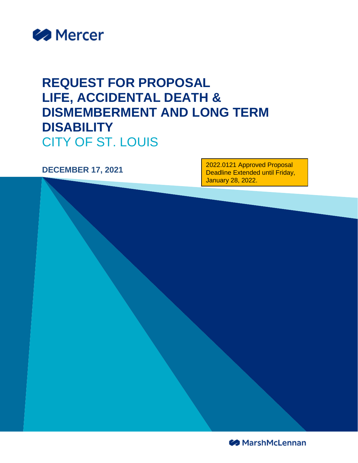

## **REQUEST FOR PROPOSAL LIFE, ACCIDENTAL DEATH & DISMEMBERMENT AND LONG TERM DISABILITY** CITY OF ST. LOUIS

**DECEMBER 17, 2021** 2022.0121 Approved Proposal Deadline Extended until Friday, January 28, 2022.

**S** MarshMcLennan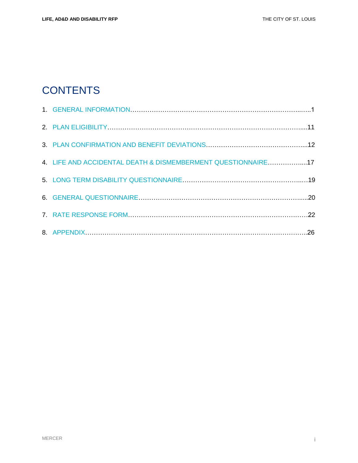## **CONTENTS**

| 4. LIFE AND ACCIDENTAL DEATH & DISMEMBERMENT QUESTIONNAIRE17 |  |
|--------------------------------------------------------------|--|
|                                                              |  |
|                                                              |  |
|                                                              |  |
|                                                              |  |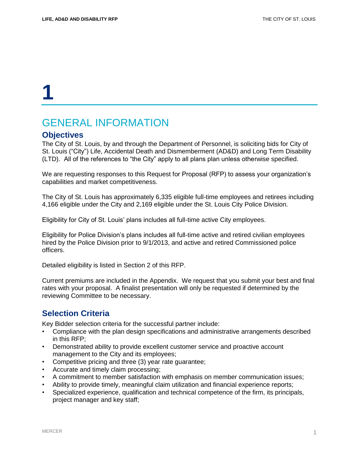### GENERAL INFORMATION

#### **Objectives**

The City of St. Louis, by and through the Department of Personnel, is soliciting bids for City of St. Louis ("City") Life, Accidental Death and Dismemberment (AD&D) and Long Term Disability (LTD). All of the references to "the City" apply to all plans plan unless otherwise specified.

We are requesting responses to this Request for Proposal (RFP) to assess your organization's capabilities and market competitiveness.

The City of St. Louis has approximately 6,335 eligible full-time employees and retirees including 4,166 eligible under the City and 2,169 eligible under the St. Louis City Police Division.

Eligibility for City of St. Louis' plans includes all full-time active City employees.

Eligibility for Police Division's plans includes all full-time active and retired civilian employees hired by the Police Division prior to 9/1/2013, and active and retired Commissioned police officers.

Detailed eligibility is listed in Section 2 of this RFP.

Current premiums are included in the Appendix. We request that you submit your best and final rates with your proposal. A finalist presentation will only be requested if determined by the reviewing Committee to be necessary.

#### **Selection Criteria**

Key Bidder selection criteria for the successful partner include:

- Compliance with the plan design specifications and administrative arrangements described in this RFP;
- Demonstrated ability to provide excellent customer service and proactive account management to the City and its employees;
- Competitive pricing and three (3) year rate guarantee;
- Accurate and timely claim processing;
- A commitment to member satisfaction with emphasis on member communication issues;
- Ability to provide timely, meaningful claim utilization and financial experience reports;
- Specialized experience, qualification and technical competence of the firm, its principals, project manager and key staff;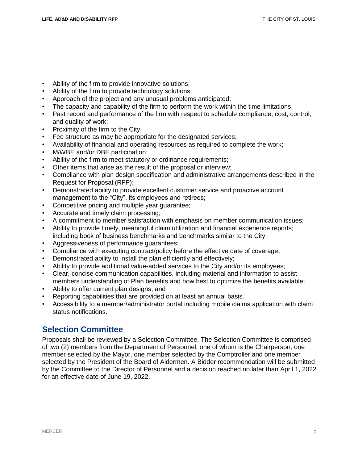- Ability of the firm to provide innovative solutions;
- Ability of the firm to provide technology solutions;
- Approach of the project and any unusual problems anticipated;
- The capacity and capability of the firm to perform the work within the time limitations;
- Past record and performance of the firm with respect to schedule compliance, cost, control, and quality of work;
- Proximity of the firm to the City:
- Fee structure as may be appropriate for the designated services;
- Availability of financial and operating resources as required to complete the work;
- M/WBE and/or DBE participation;
- Ability of the firm to meet statutory or ordinance requirements;
- Other items that arise as the result of the proposal or interview;
- Compliance with plan design specification and administrative arrangements described in the Request for Proposal (RFP);
- Demonstrated ability to provide excellent customer service and proactive account management to the "City", its employees and retirees;
- Competitive pricing and multiple year guarantee;
- Accurate and timely claim processing;
- A commitment to member satisfaction with emphasis on member communication issues;
- Ability to provide timely, meaningful claim utilization and financial experience reports; including book of business benchmarks and benchmarks similar to the City;
- Aggressiveness of performance guarantees;
- Compliance with executing contract/policy before the effective date of coverage;
- Demonstrated ability to install the plan efficiently and effectively;
- Ability to provide additional value-added services to the City and/or its employees;
- Clear, concise communication capabilities, including material and information to assist members understanding of Plan benefits and how best to optimize the benefits available;
- Ability to offer current plan designs; and
- Reporting capabilities that are provided on at least an annual basis.
- Accessibility to a member/administrator portal including mobile claims application with claim status notifications.

### **Selection Committee**

Proposals shall be reviewed by a Selection Committee. The Selection Committee is comprised of two (2) members from the Department of Personnel, one of whom is the Chairperson, one member selected by the Mayor, one member selected by the Comptroller and one member selected by the President of the Board of Aldermen. A Bidder recommendation will be submitted by the Committee to the Director of Personnel and a decision reached no later than April 1, 2022 for an effective date of June 19, 2022.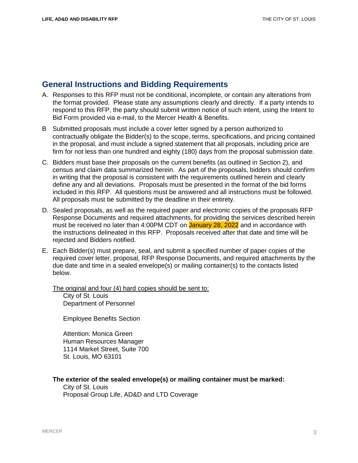### **General Instructions and Bidding Requirements**

- A. Responses to this RFP must not be conditional, incomplete, or contain any alterations from the format provided. Please state any assumptions clearly and directly. If a party intends to respond to this RFP, the party should submit written notice of such intent, using the Intent to Bid Form provided via e-mail, to the Mercer Health & Benefits.
- B Submitted proposals must include a cover letter signed by a person authorized to contractually obligate the Bidder(s) to the scope, terms, specifications, and pricing contained in the proposal, and must include a signed statement that all proposals, including price are firm for not less than one hundred and eighty (180) days from the proposal submission date.
- C. Bidders must base their proposals on the current benefits (as outlined in Section 2), and census and claim data summarized herein. As part of the proposals, bidders should confirm in writing that the proposal is consistent with the requirements outlined herein and clearly define any and all deviations. Proposals must be presented in the format of the bid forms included in this RFP. All questions must be answered and all instructions must be followed. All proposals must be submitted by the deadline in their entirety.
- D. Sealed proposals, as well as the required paper and electronic copies of the proposals RFP Response Documents and required attachments, for providing the services described herein must be received no later than 4:00PM CDT on January 28, 2022 and in accordance with the instructions delineated in this RFP. Proposals received after that date and time will be rejected and Bidders notified.
- E. Each Bidder(s) must prepare, seal, and submit a specified number of paper copies of the required cover letter, proposal, RFP Response Documents, and required attachments by the due date and time in a sealed envelope(s) or mailing container(s) to the contacts listed below.

The original and four (4) hard copies should be sent to:

City of St. Louis Department of Personnel

Employee Benefits Section

Attention: Monica Green Human Resources Manager 1114 Market Street, Suite 700 St. Louis, MO 63101

#### **The exterior of the sealed envelope(s) or mailing container must be marked:**

City of St. Louis Proposal Group Life, AD&D and LTD Coverage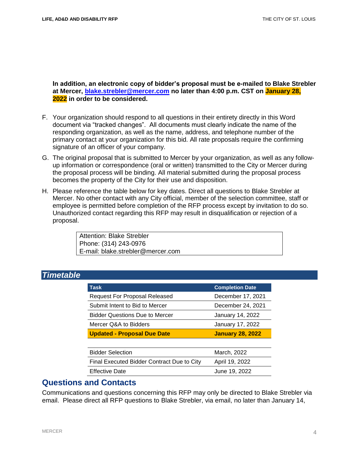#### **In addition, an electronic copy of bidder's proposal must be e-mailed to Blake Strebler at Mercer, [blake.strebler@mercer.com](mailto:blake.strebler@mercer.com) no later than 4:00 p.m. CST on January 28, 2022 in order to be considered.**

- F. Your organization should respond to all questions in their entirety directly in this Word document via "tracked changes". All documents must clearly indicate the name of the responding organization, as well as the name, address, and telephone number of the primary contact at your organization for this bid. All rate proposals require the confirming signature of an officer of your company.
- G. The original proposal that is submitted to Mercer by your organization, as well as any followup information or correspondence (oral or written) transmitted to the City or Mercer during the proposal process will be binding. All material submitted during the proposal process becomes the property of the City for their use and disposition.
- H. Please reference the table below for key dates. Direct all questions to Blake Strebler at Mercer. No other contact with any City official, member of the selection committee, staff or employee is permitted before completion of the RFP process except by invitation to do so. Unauthorized contact regarding this RFP may result in disqualification or rejection of a proposal.

Attention: Blake Strebler Phone: (314) 243-0976 E-mail: blake.strebler@mercer.com

#### *Timetable*

| <b>Task</b>                                | <b>Completion Date</b>  |
|--------------------------------------------|-------------------------|
| Request For Proposal Released              | December 17, 2021       |
| Submit Intent to Bid to Mercer             | December 24, 2021       |
| <b>Bidder Questions Due to Mercer</b>      | January 14, 2022        |
| Mercer Q&A to Bidders                      | January 17, 2022        |
| <b>Updated - Proposal Due Date</b>         | <b>January 28, 2022</b> |
|                                            |                         |
| <b>Bidder Selection</b>                    | March, 2022             |
| Final Executed Bidder Contract Due to City | April 19, 2022          |
| <b>Effective Date</b>                      | June 19, 2022           |

#### **Questions and Contacts**

Communications and questions concerning this RFP may only be directed to Blake Strebler via email. Please direct all RFP questions to Blake Strebler, via email, no later than January 14,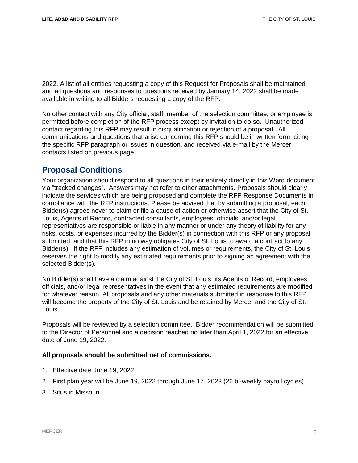2022. A list of all entities requesting a copy of this Request for Proposals shall be maintained and all questions and responses to questions received by January 14, 2022 shall be made available in writing to all Bidders requesting a copy of the RFP.

No other contact with any City official, staff, member of the selection committee, or employee is permitted before completion of the RFP process except by invitation to do so. Unauthorized contact regarding this RFP may result in disqualification or rejection of a proposal. All communications and questions that arise concerning this RFP should be in written form, citing the specific RFP paragraph or issues in question, and received via e-mail by the Mercer contacts listed on previous page.

### **Proposal Conditions**

Your organization should respond to all questions in their entirety directly in this Word document via "tracked changes". Answers may not refer to other attachments. Proposals should clearly indicate the services which are being proposed and complete the RFP Response Documents in compliance with the RFP instructions. Please be advised that by submitting a proposal, each Bidder(s) agrees never to claim or file a cause of action or otherwise assert that the City of St. Louis, Agents of Record, contracted consultants, employees, officials, and/or legal representatives are responsible or liable in any manner or under any theory of liability for any risks, costs, or expenses incurred by the Bidder(s) in connection with this RFP or any proposal submitted, and that this RFP in no way obligates City of St. Louis to award a contract to any Bidder(s). If the RFP includes any estimation of volumes or requirements, the City of St. Louis reserves the right to modify any estimated requirements prior to signing an agreement with the selected Bidder(s).

No Bidder(s) shall have a claim against the City of St. Louis, its Agents of Record, employees, officials, and/or legal representatives in the event that any estimated requirements are modified for whatever reason. All proposals and any other materials submitted in response to this RFP will become the property of the City of St. Louis and be retained by Mercer and the City of St. Louis.

Proposals will be reviewed by a selection committee. Bidder recommendation will be submitted to the Director of Personnel and a decision reached no later than April 1, 2022 for an effective date of June 19, 2022.

#### **All proposals should be submitted net of commissions.**

- 1. Effective date June 19, 2022.
- 2. First plan year will be June 19, 2022 through June 17, 2023 (26 bi-weekly payroll cycles)
- 3. Situs in Missouri.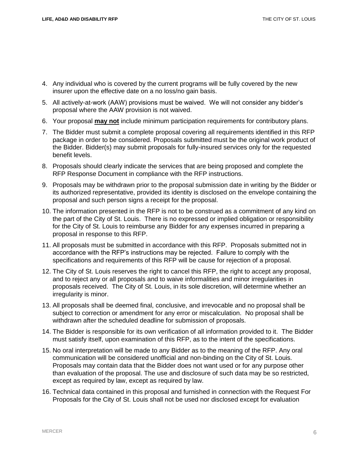- 4. Any individual who is covered by the current programs will be fully covered by the new insurer upon the effective date on a no loss/no gain basis.
- 5. All actively-at-work (AAW) provisions must be waived. We will not consider any bidder's proposal where the AAW provision is not waived.
- 6. Your proposal **may not** include minimum participation requirements for contributory plans.
- 7. The Bidder must submit a complete proposal covering all requirements identified in this RFP package in order to be considered. Proposals submitted must be the original work product of the Bidder. Bidder(s) may submit proposals for fully-insured services only for the requested benefit levels.
- 8. Proposals should clearly indicate the services that are being proposed and complete the RFP Response Document in compliance with the RFP instructions.
- 9. Proposals may be withdrawn prior to the proposal submission date in writing by the Bidder or its authorized representative, provided its identity is disclosed on the envelope containing the proposal and such person signs a receipt for the proposal.
- 10. The information presented in the RFP is not to be construed as a commitment of any kind on the part of the City of St. Louis. There is no expressed or implied obligation or responsibility for the City of St. Louis to reimburse any Bidder for any expenses incurred in preparing a proposal in response to this RFP.
- 11. All proposals must be submitted in accordance with this RFP. Proposals submitted not in accordance with the RFP's instructions may be rejected. Failure to comply with the specifications and requirements of this RFP will be cause for rejection of a proposal.
- 12. The City of St. Louis reserves the right to cancel this RFP, the right to accept any proposal, and to reject any or all proposals and to waive informalities and minor irregularities in proposals received. The City of St. Louis, in its sole discretion, will determine whether an irregularity is minor.
- 13. All proposals shall be deemed final, conclusive, and irrevocable and no proposal shall be subject to correction or amendment for any error or miscalculation. No proposal shall be withdrawn after the scheduled deadline for submission of proposals.
- 14. The Bidder is responsible for its own verification of all information provided to it. The Bidder must satisfy itself, upon examination of this RFP, as to the intent of the specifications.
- 15. No oral interpretation will be made to any Bidder as to the meaning of the RFP. Any oral communication will be considered unofficial and non-binding on the City of St. Louis. Proposals may contain data that the Bidder does not want used or for any purpose other than evaluation of the proposal. The use and disclosure of such data may be so restricted, except as required by law, except as required by law.
- 16. Technical data contained in this proposal and furnished in connection with the Request For Proposals for the City of St. Louis shall not be used nor disclosed except for evaluation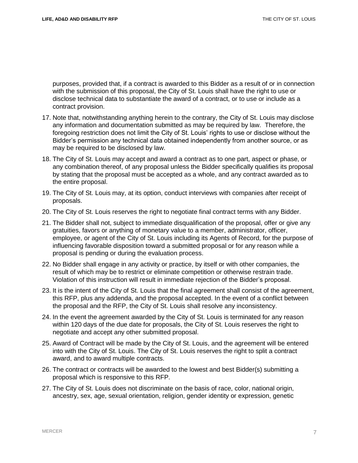purposes, provided that, if a contract is awarded to this Bidder as a result of or in connection with the submission of this proposal, the City of St. Louis shall have the right to use or disclose technical data to substantiate the award of a contract, or to use or include as a contract provision.

- 17. Note that, notwithstanding anything herein to the contrary, the City of St. Louis may disclose any information and documentation submitted as may be required by law. Therefore, the foregoing restriction does not limit the City of St. Louis' rights to use or disclose without the Bidder's permission any technical data obtained independently from another source, or as may be required to be disclosed by law.
- 18. The City of St. Louis may accept and award a contract as to one part, aspect or phase, or any combination thereof, of any proposal unless the Bidder specifically qualifies its proposal by stating that the proposal must be accepted as a whole, and any contract awarded as to the entire proposal.
- 19. The City of St. Louis may, at its option, conduct interviews with companies after receipt of proposals.
- 20. The City of St. Louis reserves the right to negotiate final contract terms with any Bidder.
- 21. The Bidder shall not, subject to immediate disqualification of the proposal, offer or give any gratuities, favors or anything of monetary value to a member, administrator, officer, employee, or agent of the City of St. Louis including its Agents of Record, for the purpose of influencing favorable disposition toward a submitted proposal or for any reason while a proposal is pending or during the evaluation process.
- 22. No Bidder shall engage in any activity or practice, by itself or with other companies, the result of which may be to restrict or eliminate competition or otherwise restrain trade. Violation of this instruction will result in immediate rejection of the Bidder's proposal.
- 23. It is the intent of the City of St. Louis that the final agreement shall consist of the agreement, this RFP, plus any addenda, and the proposal accepted. In the event of a conflict between the proposal and the RFP, the City of St. Louis shall resolve any inconsistency.
- 24. In the event the agreement awarded by the City of St. Louis is terminated for any reason within 120 days of the due date for proposals, the City of St. Louis reserves the right to negotiate and accept any other submitted proposal.
- 25. Award of Contract will be made by the City of St. Louis, and the agreement will be entered into with the City of St. Louis. The City of St. Louis reserves the right to split a contract award, and to award multiple contracts.
- 26. The contract or contracts will be awarded to the lowest and best Bidder(s) submitting a proposal which is responsive to this RFP.
- 27. The City of St. Louis does not discriminate on the basis of race, color, national origin, ancestry, sex, age, sexual orientation, religion, gender identity or expression, genetic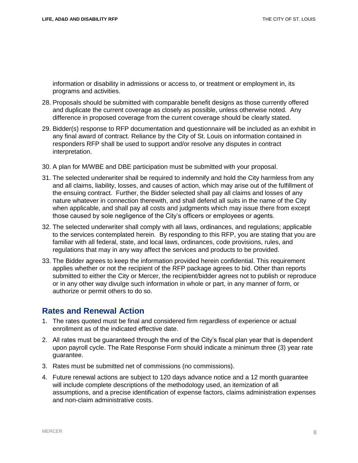information or disability in admissions or access to, or treatment or employment in, its programs and activities.

- 28. Proposals should be submitted with comparable benefit designs as those currently offered and duplicate the current coverage as closely as possible, unless otherwise noted. Any difference in proposed coverage from the current coverage should be clearly stated.
- 29. Bidder(s) response to RFP documentation and questionnaire will be included as an exhibit in any final award of contract. Reliance by the City of St. Louis on information contained in responders RFP shall be used to support and/or resolve any disputes in contract interpretation.
- 30. A plan for M/WBE and DBE participation must be submitted with your proposal.
- 31. The selected underwriter shall be required to indemnify and hold the City harmless from any and all claims, liability, losses, and causes of action, which may arise out of the fulfillment of the ensuing contract. Further, the Bidder selected shall pay all claims and losses of any nature whatever in connection therewith, and shall defend all suits in the name of the City when applicable, and shall pay all costs and judgments which may issue there from except those caused by sole negligence of the City's officers or employees or agents.
- 32. The selected underwriter shall comply with all laws, ordinances, and regulations; applicable to the services contemplated herein. By responding to this RFP, you are stating that you are familiar with all federal, state, and local laws, ordinances, code provisions, rules, and regulations that may in any way affect the services and products to be provided.
- 33. The Bidder agrees to keep the information provided herein confidential. This requirement applies whether or not the recipient of the RFP package agrees to bid. Other than reports submitted to either the City or Mercer, the recipient/bidder agrees not to publish or reproduce or in any other way divulge such information in whole or part, in any manner of form, or authorize or permit others to do so.

#### **Rates and Renewal Action**

- 1. The rates quoted must be final and considered firm regardless of experience or actual enrollment as of the indicated effective date.
- 2. All rates must be guaranteed through the end of the City's fiscal plan year that is dependent upon payroll cycle. The Rate Response Form should indicate a minimum three (3) year rate guarantee.
- 3. Rates must be submitted net of commissions (no commissions).
- 4. Future renewal actions are subject to 120 days advance notice and a 12 month guarantee will include complete descriptions of the methodology used, an itemization of all assumptions, and a precise identification of expense factors, claims administration expenses and non-claim administrative costs.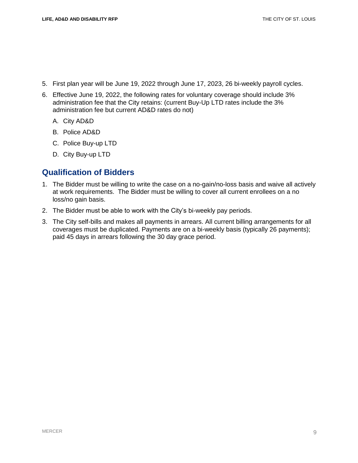- 5. First plan year will be June 19, 2022 through June 17, 2023, 26 bi-weekly payroll cycles.
- 6. Effective June 19, 2022, the following rates for voluntary coverage should include 3% administration fee that the City retains: (current Buy-Up LTD rates include the 3% administration fee but current AD&D rates do not)
	- A. City AD&D
	- B. Police AD&D
	- C. Police Buy-up LTD
	- D. City Buy-up LTD

#### **Qualification of Bidders**

- 1. The Bidder must be willing to write the case on a no-gain/no-loss basis and waive all actively at work requirements. The Bidder must be willing to cover all current enrollees on a no loss/no gain basis.
- 2. The Bidder must be able to work with the City's bi-weekly pay periods.
- 3. The City self-bills and makes all payments in arrears. All current billing arrangements for all coverages must be duplicated. Payments are on a bi-weekly basis (typically 26 payments); paid 45 days in arrears following the 30 day grace period.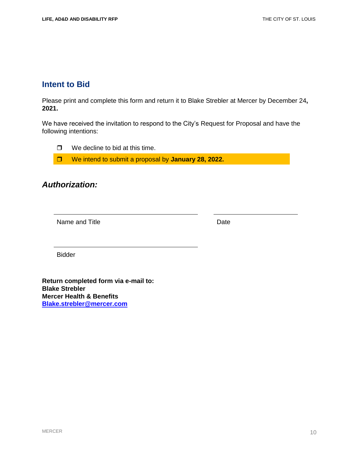### **Intent to Bid**

Please print and complete this form and return it to Blake Strebler at Mercer by December 24**, 2021.**

We have received the invitation to respond to the City's Request for Proposal and have the following intentions:

 $\Box$  We decline to bid at this time.

We intend to submit a proposal by **January 28, 2022.**

### *Authorization:*

Name and Title **Date** 

Bidder

**Return completed form via e-mail to: Blake Strebler Mercer Health & Benefits [Blake.strebler@mercer.com](mailto:Blake.strebler@mercer.com)**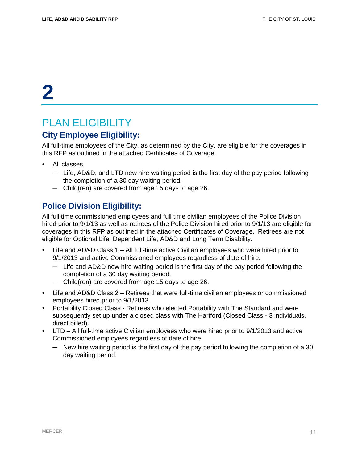## PLAN ELIGIBILITY

### **City Employee Eligibility:**

All full-time employees of the City, as determined by the City, are eligible for the coverages in this RFP as outlined in the attached Certificates of Coverage.

- All classes
	- ─ Life, AD&D, and LTD new hire waiting period is the first day of the pay period following the completion of a 30 day waiting period.
	- ─ Child(ren) are covered from age 15 days to age 26.

#### **Police Division Eligibility:**

All full time commissioned employees and full time civilian employees of the Police Division hired prior to 9/1/13 as well as retirees of the Police Division hired prior to 9/1/13 are eligible for coverages in this RFP as outlined in the attached Certificates of Coverage. Retirees are not eligible for Optional Life, Dependent Life, AD&D and Long Term Disability.

- Life and AD&D Class 1 All full-time active Civilian employees who were hired prior to 9/1/2013 and active Commissioned employees regardless of date of hire.
	- $-$  Life and AD&D new hire waiting period is the first day of the pay period following the completion of a 30 day waiting period.
	- ─ Child(ren) are covered from age 15 days to age 26.
- Life and AD&D Class 2 Retirees that were full-time civilian employees or commissioned employees hired prior to 9/1/2013.
- Portability Closed Class Retirees who elected Portability with The Standard and were subsequently set up under a closed class with The Hartford (Closed Class - 3 individuals, direct billed).
- LTD All full-time active Civilian employees who were hired prior to 9/1/2013 and active Commissioned employees regardless of date of hire.
	- ─ New hire waiting period is the first day of the pay period following the completion of a 30 day waiting period.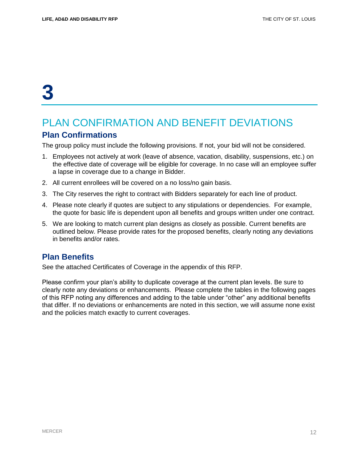## PLAN CONFIRMATION AND BENEFIT DEVIATIONS

#### **Plan Confirmations**

The group policy must include the following provisions. If not, your bid will not be considered.

- 1. Employees not actively at work (leave of absence, vacation, disability, suspensions, etc.) on the effective date of coverage will be eligible for coverage. In no case will an employee suffer a lapse in coverage due to a change in Bidder.
- 2. All current enrollees will be covered on a no loss/no gain basis.
- 3. The City reserves the right to contract with Bidders separately for each line of product.
- 4. Please note clearly if quotes are subject to any stipulations or dependencies. For example, the quote for basic life is dependent upon all benefits and groups written under one contract.
- 5. We are looking to match current plan designs as closely as possible. Current benefits are outlined below. Please provide rates for the proposed benefits, clearly noting any deviations in benefits and/or rates.

#### **Plan Benefits**

See the attached Certificates of Coverage in the appendix of this RFP.

Please confirm your plan's ability to duplicate coverage at the current plan levels. Be sure to clearly note any deviations or enhancements. Please complete the tables in the following pages of this RFP noting any differences and adding to the table under "other" any additional benefits that differ. If no deviations or enhancements are noted in this section, we will assume none exist and the policies match exactly to current coverages.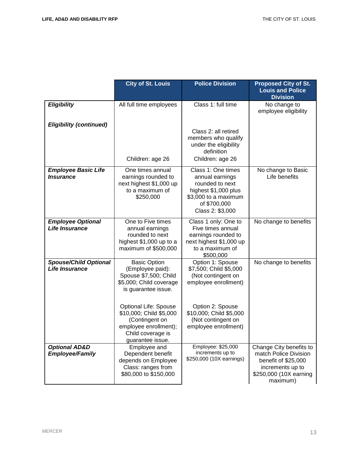|                                                       | <b>City of St. Louis</b>                                                                                                                    | <b>Police Division</b>                                                                                                                       | <b>Proposed City of St.</b><br><b>Louis and Police</b><br><b>Division</b>                                                         |
|-------------------------------------------------------|---------------------------------------------------------------------------------------------------------------------------------------------|----------------------------------------------------------------------------------------------------------------------------------------------|-----------------------------------------------------------------------------------------------------------------------------------|
| <b>Eligibility</b>                                    | All full time employees                                                                                                                     | Class 1: full time                                                                                                                           | No change to<br>employee eligibility                                                                                              |
| <b>Eligibility (continued)</b>                        | Children: age 26                                                                                                                            | Class 2: all retired<br>members who qualify<br>under the eligibility<br>definition<br>Children: age 26                                       |                                                                                                                                   |
| <b>Employee Basic Life</b><br><b>Insurance</b>        | One times annual<br>earnings rounded to<br>next highest \$1,000 up<br>to a maximum of<br>\$250,000                                          | Class 1: One times<br>annual earnings<br>rounded to next<br>highest \$1,000 plus<br>\$3,000 to a maximum<br>of \$700,000<br>Class 2: \$3,000 | No change to Basic<br>Life benefits                                                                                               |
| <b>Employee Optional</b><br>Life Insurance            | One to Five times<br>annual earnings<br>rounded to next<br>highest \$1,000 up to a<br>maximum of \$500,000                                  | Class 1 only: One to<br>Five times annual<br>earnings rounded to<br>next highest \$1,000 up<br>to a maximum of<br>\$500,000                  | No change to benefits                                                                                                             |
| <b>Spouse/Child Optional</b><br><b>Life Insurance</b> | <b>Basic Option</b><br>(Employee paid):<br>Spouse \$7,500; Child<br>\$5,000; Child coverage<br>is guarantee issue.                          | Option 1: Spouse<br>\$7,500; Child \$5,000<br>(Not contingent on<br>employee enrollment)                                                     | No change to benefits                                                                                                             |
|                                                       | <b>Optional Life: Spouse</b><br>\$10,000; Child \$5,000<br>(Contingent on<br>employee enrollment);<br>Child coverage is<br>guarantee issue. | Option 2: Spouse<br>\$10,000; Child \$5,000<br>(Not contingent on<br>employee enrollment)                                                    |                                                                                                                                   |
| <b>Optional AD&amp;D</b><br><b>Employee/Family</b>    | Employee and<br>Dependent benefit<br>depends on Employee<br>Class: ranges from<br>\$80,000 to \$150,000                                     | Employee: \$25,000<br>increments up to<br>\$250,000 (10X earnings)                                                                           | Change City benefits to<br>match Police Division<br>benefit of \$25,000<br>increments up to<br>\$250,000 (10X earning<br>maximum) |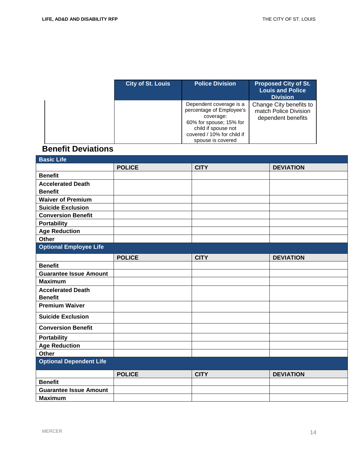| <b>City of St. Louis</b> | <b>Police Division</b>                                                                                                                                                | <b>Proposed City of St.</b><br><b>Louis and Police</b><br><b>Division</b> |
|--------------------------|-----------------------------------------------------------------------------------------------------------------------------------------------------------------------|---------------------------------------------------------------------------|
|                          | Dependent coverage is a<br>percentage of Employee's<br>coverage:<br>60% for spouse; 15% for<br>child if spouse not<br>covered / 10% for child if<br>spouse is covered | Change City benefits to<br>match Police Division<br>dependent benefits    |

### **Benefit Deviations**

| <b>Basic Life</b>              |               |             |                  |
|--------------------------------|---------------|-------------|------------------|
|                                | <b>POLICE</b> | <b>CITY</b> | <b>DEVIATION</b> |
| <b>Benefit</b>                 |               |             |                  |
| <b>Accelerated Death</b>       |               |             |                  |
| <b>Benefit</b>                 |               |             |                  |
| <b>Waiver of Premium</b>       |               |             |                  |
| <b>Suicide Exclusion</b>       |               |             |                  |
| <b>Conversion Benefit</b>      |               |             |                  |
| <b>Portability</b>             |               |             |                  |
| <b>Age Reduction</b>           |               |             |                  |
| <b>Other</b>                   |               |             |                  |
| <b>Optional Employee Life</b>  |               |             |                  |
|                                | <b>POLICE</b> | <b>CITY</b> | <b>DEVIATION</b> |
| <b>Benefit</b>                 |               |             |                  |
| <b>Guarantee Issue Amount</b>  |               |             |                  |
| <b>Maximum</b>                 |               |             |                  |
| <b>Accelerated Death</b>       |               |             |                  |
| <b>Benefit</b>                 |               |             |                  |
| <b>Premium Waiver</b>          |               |             |                  |
| <b>Suicide Exclusion</b>       |               |             |                  |
| <b>Conversion Benefit</b>      |               |             |                  |
| <b>Portability</b>             |               |             |                  |
| <b>Age Reduction</b>           |               |             |                  |
| <b>Other</b>                   |               |             |                  |
| <b>Optional Dependent Life</b> |               |             |                  |
|                                | <b>POLICE</b> | <b>CITY</b> | <b>DEVIATION</b> |
| <b>Benefit</b>                 |               |             |                  |
| <b>Guarantee Issue Amount</b>  |               |             |                  |
| <b>Maximum</b>                 |               |             |                  |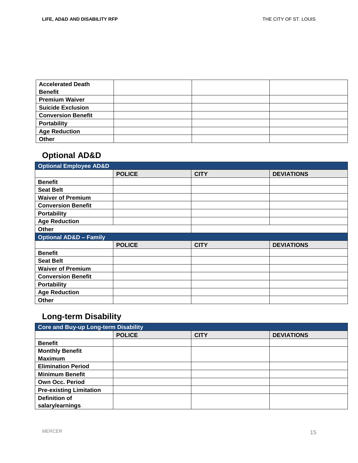| <b>Accelerated Death</b><br><b>Benefit</b> |  |  |
|--------------------------------------------|--|--|
| <b>Premium Waiver</b>                      |  |  |
| <b>Suicide Exclusion</b>                   |  |  |
| <b>Conversion Benefit</b>                  |  |  |
| <b>Portability</b>                         |  |  |
| <b>Age Reduction</b>                       |  |  |
| Other                                      |  |  |

### **Optional AD&D**

| <b>Optional Employee AD&amp;D</b> |               |             |                   |  |
|-----------------------------------|---------------|-------------|-------------------|--|
|                                   | <b>POLICE</b> | <b>CITY</b> | <b>DEVIATIONS</b> |  |
| <b>Benefit</b>                    |               |             |                   |  |
| <b>Seat Belt</b>                  |               |             |                   |  |
| <b>Waiver of Premium</b>          |               |             |                   |  |
| <b>Conversion Benefit</b>         |               |             |                   |  |
| <b>Portability</b>                |               |             |                   |  |
| <b>Age Reduction</b>              |               |             |                   |  |
| Other                             |               |             |                   |  |
| <b>Optional AD&amp;D - Family</b> |               |             |                   |  |
|                                   |               |             |                   |  |
|                                   | <b>POLICE</b> | <b>CITY</b> | <b>DEVIATIONS</b> |  |
| <b>Benefit</b>                    |               |             |                   |  |
| <b>Seat Belt</b>                  |               |             |                   |  |
| <b>Waiver of Premium</b>          |               |             |                   |  |
| <b>Conversion Benefit</b>         |               |             |                   |  |
| <b>Portability</b>                |               |             |                   |  |
| <b>Age Reduction</b>              |               |             |                   |  |

### **Long-term Disability**

| Core and Buy-up Long-term Disability |               |             |                   |
|--------------------------------------|---------------|-------------|-------------------|
|                                      | <b>POLICE</b> | <b>CITY</b> | <b>DEVIATIONS</b> |
| <b>Benefit</b>                       |               |             |                   |
| <b>Monthly Benefit</b>               |               |             |                   |
| <b>Maximum</b>                       |               |             |                   |
| <b>Elimination Period</b>            |               |             |                   |
| <b>Minimum Benefit</b>               |               |             |                   |
| <b>Own Occ. Period</b>               |               |             |                   |
| <b>Pre-existing Limitation</b>       |               |             |                   |
| <b>Definition of</b>                 |               |             |                   |
| salary/earnings                      |               |             |                   |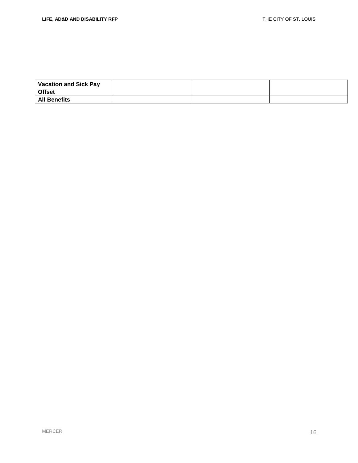| <b>Vacation and Sick Pay</b><br><b>Offset</b> |  |  |
|-----------------------------------------------|--|--|
| <b>All Benefits</b>                           |  |  |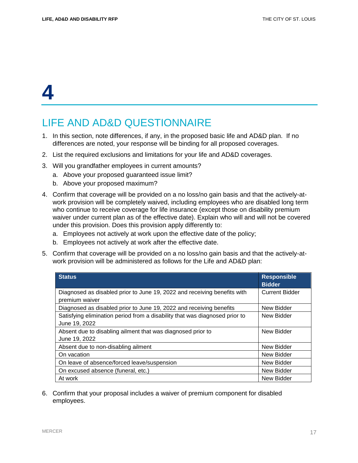## LIFE AND AD&D QUESTIONNAIRE

- 1. In this section, note differences, if any, in the proposed basic life and AD&D plan. If no differences are noted, your response will be binding for all proposed coverages.
- 2. List the required exclusions and limitations for your life and AD&D coverages.
- 3. Will you grandfather employees in current amounts?
	- a. Above your proposed guaranteed issue limit?
	- b. Above your proposed maximum?
- 4. Confirm that coverage will be provided on a no loss/no gain basis and that the actively-atwork provision will be completely waived, including employees who are disabled long term who continue to receive coverage for life insurance (except those on disability premium waiver under current plan as of the effective date). Explain who will and will not be covered under this provision. Does this provision apply differently to:
	- a. Employees not actively at work upon the effective date of the policy;
	- b. Employees not actively at work after the effective date.
- 5. Confirm that coverage will be provided on a no loss/no gain basis and that the actively-atwork provision will be administered as follows for the Life and AD&D plan:

| <b>Status</b>                                                                                | <b>Responsible</b><br><b>Bidder</b> |
|----------------------------------------------------------------------------------------------|-------------------------------------|
| Diagnosed as disabled prior to June 19, 2022 and receiving benefits with<br>premium waiver   | <b>Current Bidder</b>               |
| Diagnosed as disabled prior to June 19, 2022 and receiving benefits                          | New Bidder                          |
| Satisfying elimination period from a disability that was diagnosed prior to<br>June 19, 2022 | New Bidder                          |
| Absent due to disabling ailment that was diagnosed prior to<br>June 19, 2022                 | New Bidder                          |
| Absent due to non-disabling ailment                                                          | New Bidder                          |
| On vacation                                                                                  | New Bidder                          |
| On leave of absence/forced leave/suspension                                                  | New Bidder                          |
| On excused absence (funeral, etc.)                                                           | New Bidder                          |
| At work                                                                                      | New Bidder                          |

6. Confirm that your proposal includes a waiver of premium component for disabled employees.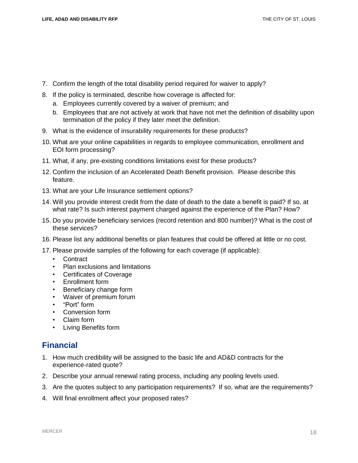- 7. Confirm the length of the total disability period required for waiver to apply?
- 8. If the policy is terminated, describe how coverage is affected for:
	- a. Employees currently covered by a waiver of premium; and
	- b. Employees that are not actively at work that have not met the definition of disability upon termination of the policy if they later meet the definition.
- 9. What is the evidence of insurability requirements for these products?
- 10. What are your online capabilities in regards to employee communication, enrollment and EOI form processing?
- 11. What, if any, pre-existing conditions limitations exist for these products?
- 12. Confirm the inclusion of an Accelerated Death Benefit provision. Please describe this feature.
- 13. What are your Life Insurance settlement options?
- 14. Will you provide interest credit from the date of death to the date a benefit is paid? If so, at what rate? Is such interest payment charged against the experience of the Plan? How?
- 15. Do you provide beneficiary services (record retention and 800 number)? What is the cost of these services?
- 16. Please list any additional benefits or plan features that could be offered at little or no cost.
- 17. Please provide samples of the following for each coverage (if applicable):
	- Contract
	- Plan exclusions and limitations
	- Certificates of Coverage
	- Enrollment form
	- Beneficiary change form
	- Waiver of premium forum
	- "Port" form
	- Conversion form
	- Claim form
	- Living Benefits form

### **Financial**

- 1. How much credibility will be assigned to the basic life and AD&D contracts for the experience-rated quote?
- 2. Describe your annual renewal rating process, including any pooling levels used.
- 3. Are the quotes subject to any participation requirements? If so, what are the requirements?
- 4. Will final enrollment affect your proposed rates?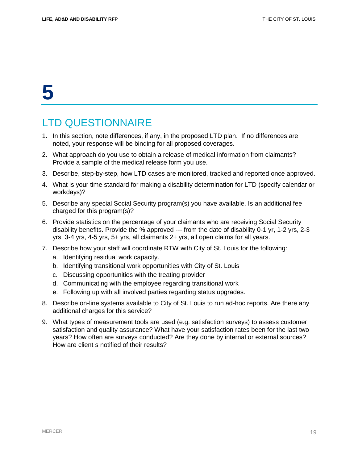## LTD QUESTIONNAIRE

- 1. In this section, note differences, if any, in the proposed LTD plan. If no differences are noted, your response will be binding for all proposed coverages.
- 2. What approach do you use to obtain a release of medical information from claimants? Provide a sample of the medical release form you use.
- 3. Describe, step-by-step, how LTD cases are monitored, tracked and reported once approved.
- 4. What is your time standard for making a disability determination for LTD (specify calendar or workdays)?
- 5. Describe any special Social Security program(s) you have available. Is an additional fee charged for this program(s)?
- 6. Provide statistics on the percentage of your claimants who are receiving Social Security disability benefits. Provide the % approved --- from the date of disability 0-1 yr, 1-2 yrs, 2-3 yrs, 3-4 yrs, 4-5 yrs, 5+ yrs, all claimants 2+ yrs, all open claims for all years.
- 7. Describe how your staff will coordinate RTW with City of St. Louis for the following:
	- a. Identifying residual work capacity.
	- b. Identifying transitional work opportunities with City of St. Louis
	- c. Discussing opportunities with the treating provider
	- d. Communicating with the employee regarding transitional work
	- e. Following up with all involved parties regarding status upgrades.
- 8. Describe on-line systems available to City of St. Louis to run ad-hoc reports. Are there any additional charges for this service?
- 9. What types of measurement tools are used (e.g. satisfaction surveys) to assess customer satisfaction and quality assurance? What have your satisfaction rates been for the last two years? How often are surveys conducted? Are they done by internal or external sources? How are client s notified of their results?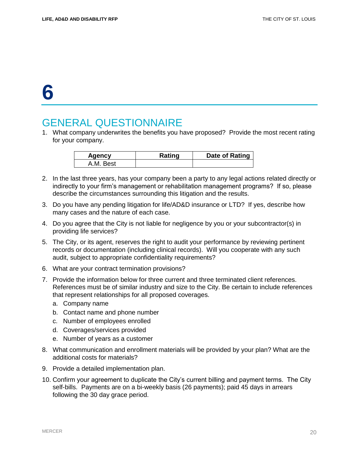## GENERAL QUESTIONNAIRE

1. What company underwrites the benefits you have proposed? Provide the most recent rating for your company.

| Agency             | Rating | Date of Rating |
|--------------------|--------|----------------|
| <b>Best</b><br>A M |        |                |

- 2. In the last three years, has your company been a party to any legal actions related directly or indirectly to your firm's management or rehabilitation management programs? If so, please describe the circumstances surrounding this litigation and the results.
- 3. Do you have any pending litigation for life/AD&D insurance or LTD? If yes, describe how many cases and the nature of each case.
- 4. Do you agree that the City is not liable for negligence by you or your subcontractor(s) in providing life services?
- 5. The City, or its agent, reserves the right to audit your performance by reviewing pertinent records or documentation (including clinical records). Will you cooperate with any such audit, subject to appropriate confidentiality requirements?
- 6. What are your contract termination provisions?
- 7. Provide the information below for three current and three terminated client references. References must be of similar industry and size to the City. Be certain to include references that represent relationships for all proposed coverages.
	- a. Company name
	- b. Contact name and phone number
	- c. Number of employees enrolled
	- d. Coverages/services provided
	- e. Number of years as a customer
- 8. What communication and enrollment materials will be provided by your plan? What are the additional costs for materials?
- 9. Provide a detailed implementation plan.
- 10. Confirm your agreement to duplicate the City's current billing and payment terms. The City self-bills. Payments are on a bi-weekly basis (26 payments); paid 45 days in arrears following the 30 day grace period.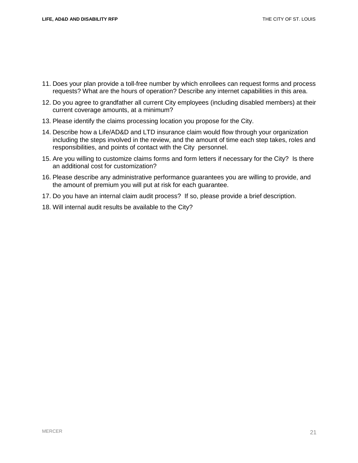- 11. Does your plan provide a toll-free number by which enrollees can request forms and process requests? What are the hours of operation? Describe any internet capabilities in this area.
- 12. Do you agree to grandfather all current City employees (including disabled members) at their current coverage amounts, at a minimum?
- 13. Please identify the claims processing location you propose for the City.
- 14. Describe how a Life/AD&D and LTD insurance claim would flow through your organization including the steps involved in the review, and the amount of time each step takes, roles and responsibilities, and points of contact with the City personnel.
- 15. Are you willing to customize claims forms and form letters if necessary for the City? Is there an additional cost for customization?
- 16. Please describe any administrative performance guarantees you are willing to provide, and the amount of premium you will put at risk for each guarantee.
- 17. Do you have an internal claim audit process? If so, please provide a brief description.
- 18. Will internal audit results be available to the City?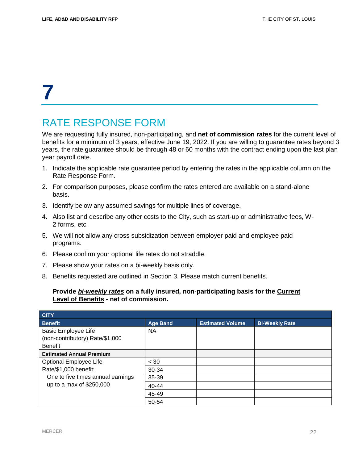## RATE RESPONSE FORM

We are requesting fully insured, non-participating, and **net of commission rates** for the current level of benefits for a minimum of 3 years, effective June 19, 2022. If you are willing to guarantee rates beyond 3 years, the rate guarantee should be through 48 or 60 months with the contract ending upon the last plan year payroll date.

- 1. Indicate the applicable rate guarantee period by entering the rates in the applicable column on the Rate Response Form.
- 2. For comparison purposes, please confirm the rates entered are available on a stand-alone basis.
- 3. Identify below any assumed savings for multiple lines of coverage.
- 4. Also list and describe any other costs to the City, such as start-up or administrative fees, W-2 forms, etc.
- 5. We will not allow any cross subsidization between employer paid and employee paid programs.
- 6. Please confirm your optional life rates do not straddle.
- 7. Please show your rates on a bi-weekly basis only.
- 8. Benefits requested are outlined in Section 3. Please match current benefits.

#### **Provide** *bi-weekly rates* **on a fully insured, non-participating basis for the Current Level of Benefits - net of commission.**

| <b>CITY</b>                       |                 |                         |                       |
|-----------------------------------|-----------------|-------------------------|-----------------------|
| <b>Benefit</b>                    | <b>Age Band</b> | <b>Estimated Volume</b> | <b>Bi-Weekly Rate</b> |
| <b>Basic Employee Life</b>        | <b>NA</b>       |                         |                       |
| (non-contributory) Rate/\$1,000   |                 |                         |                       |
| <b>Benefit</b>                    |                 |                         |                       |
| <b>Estimated Annual Premium</b>   |                 |                         |                       |
| Optional Employee Life            | < 30            |                         |                       |
| Rate/\$1,000 benefit:             | 30-34           |                         |                       |
| One to five times annual earnings | 35-39           |                         |                       |
| up to a max of \$250,000          | $40 - 44$       |                         |                       |
|                                   | 45-49           |                         |                       |
|                                   | 50-54           |                         |                       |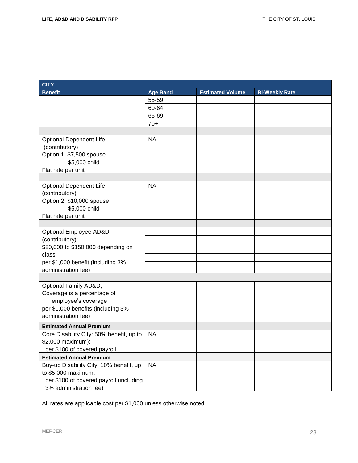| <b>CITY</b>                                              |                 |                         |                       |
|----------------------------------------------------------|-----------------|-------------------------|-----------------------|
| <b>Benefit</b>                                           | <b>Age Band</b> | <b>Estimated Volume</b> | <b>Bi-Weekly Rate</b> |
|                                                          | 55-59           |                         |                       |
|                                                          | 60-64           |                         |                       |
|                                                          | 65-69           |                         |                       |
|                                                          | $70+$           |                         |                       |
|                                                          |                 |                         |                       |
| <b>Optional Dependent Life</b>                           | <b>NA</b>       |                         |                       |
| (contributory)                                           |                 |                         |                       |
| Option 1: \$7,500 spouse                                 |                 |                         |                       |
| \$5,000 child                                            |                 |                         |                       |
| Flat rate per unit                                       |                 |                         |                       |
|                                                          |                 |                         |                       |
| <b>Optional Dependent Life</b>                           | <b>NA</b>       |                         |                       |
| (contributory)                                           |                 |                         |                       |
| Option 2: \$10,000 spouse                                |                 |                         |                       |
| \$5,000 child                                            |                 |                         |                       |
| Flat rate per unit                                       |                 |                         |                       |
|                                                          |                 |                         |                       |
| Optional Employee AD&D                                   |                 |                         |                       |
| (contributory);                                          |                 |                         |                       |
| \$80,000 to \$150,000 depending on                       |                 |                         |                       |
| class                                                    |                 |                         |                       |
| per \$1,000 benefit (including 3%<br>administration fee) |                 |                         |                       |
|                                                          |                 |                         |                       |
| Optional Family AD&D                                     |                 |                         |                       |
| Coverage is a percentage of                              |                 |                         |                       |
| employee's coverage                                      |                 |                         |                       |
| per \$1,000 benefits (including 3%                       |                 |                         |                       |
| administration fee)                                      |                 |                         |                       |
| <b>Estimated Annual Premium</b>                          |                 |                         |                       |
| Core Disability City: 50% benefit, up to                 | <b>NA</b>       |                         |                       |
| \$2,000 maximum);                                        |                 |                         |                       |
| per \$100 of covered payroll                             |                 |                         |                       |
| <b>Estimated Annual Premium</b>                          |                 |                         |                       |
| Buy-up Disability City: 10% benefit, up                  | <b>NA</b>       |                         |                       |
| to \$5,000 maximum;                                      |                 |                         |                       |
| per \$100 of covered payroll (including                  |                 |                         |                       |
| 3% administration fee)                                   |                 |                         |                       |

All rates are applicable cost per \$1,000 unless otherwise noted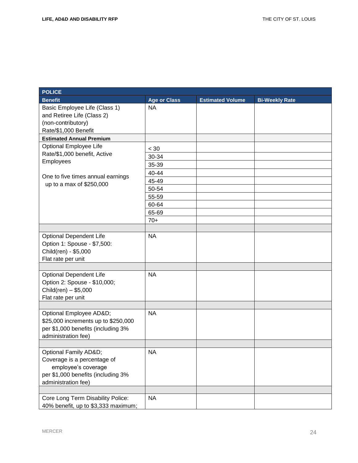| <b>POLICE</b>                                                 |                     |                         |                       |
|---------------------------------------------------------------|---------------------|-------------------------|-----------------------|
| <b>Benefit</b>                                                | <b>Age or Class</b> | <b>Estimated Volume</b> | <b>Bi-Weekly Rate</b> |
| Basic Employee Life (Class 1)                                 | <b>NA</b>           |                         |                       |
| and Retiree Life (Class 2)                                    |                     |                         |                       |
| (non-contributory)                                            |                     |                         |                       |
| Rate/\$1,000 Benefit                                          |                     |                         |                       |
| <b>Estimated Annual Premium</b>                               |                     |                         |                       |
| Optional Employee Life                                        | $< 30$              |                         |                       |
| Rate/\$1,000 benefit, Active                                  | 30-34               |                         |                       |
| Employees                                                     | 35-39               |                         |                       |
| One to five times annual earnings<br>up to a max of \$250,000 | 40-44               |                         |                       |
|                                                               | 45-49               |                         |                       |
|                                                               | 50-54               |                         |                       |
|                                                               | 55-59               |                         |                       |
|                                                               | 60-64               |                         |                       |
|                                                               | 65-69               |                         |                       |
|                                                               | $70+$               |                         |                       |
|                                                               |                     |                         |                       |
| <b>Optional Dependent Life</b>                                | <b>NA</b>           |                         |                       |
| Option 1: Spouse - \$7,500:                                   |                     |                         |                       |
| Child(ren) - \$5,000                                          |                     |                         |                       |
| Flat rate per unit                                            |                     |                         |                       |
|                                                               |                     |                         |                       |
| <b>Optional Dependent Life</b>                                | <b>NA</b>           |                         |                       |
| Option 2: Spouse - \$10,000;                                  |                     |                         |                       |
| $Children) - $5,000$                                          |                     |                         |                       |
| Flat rate per unit                                            |                     |                         |                       |
|                                                               |                     |                         |                       |
| Optional Employee AD&D                                        | <b>NA</b>           |                         |                       |
| \$25,000 increments up to \$250,000                           |                     |                         |                       |
| per \$1,000 benefits (including 3%                            |                     |                         |                       |
| administration fee)                                           |                     |                         |                       |
|                                                               |                     |                         |                       |
| Optional Family AD&D                                          | <b>NA</b>           |                         |                       |
| Coverage is a percentage of<br>employee's coverage            |                     |                         |                       |
| per \$1,000 benefits (including 3%                            |                     |                         |                       |
| administration fee)                                           |                     |                         |                       |
|                                                               |                     |                         |                       |
| Core Long Term Disability Police:                             | <b>NA</b>           |                         |                       |
| 40% benefit, up to \$3,333 maximum;                           |                     |                         |                       |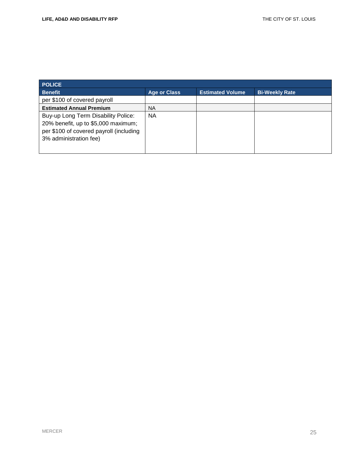| <b>POLICE</b>                                                                                                                                   |                     |                         |                       |  |  |
|-------------------------------------------------------------------------------------------------------------------------------------------------|---------------------|-------------------------|-----------------------|--|--|
| <b>Benefit</b>                                                                                                                                  | <b>Age or Class</b> | <b>Estimated Volume</b> | <b>Bi-Weekly Rate</b> |  |  |
| per \$100 of covered payroll                                                                                                                    |                     |                         |                       |  |  |
| <b>Estimated Annual Premium</b>                                                                                                                 | <b>NA</b>           |                         |                       |  |  |
| Buy-up Long Term Disability Police:<br>20% benefit, up to \$5,000 maximum;<br>per \$100 of covered payroll (including<br>3% administration fee) | <b>NA</b>           |                         |                       |  |  |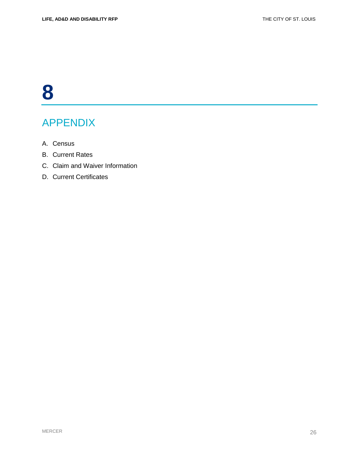## APPENDIX

- A. Census
- B. Current Rates
- C. Claim and Waiver Information
- D. Current Certificates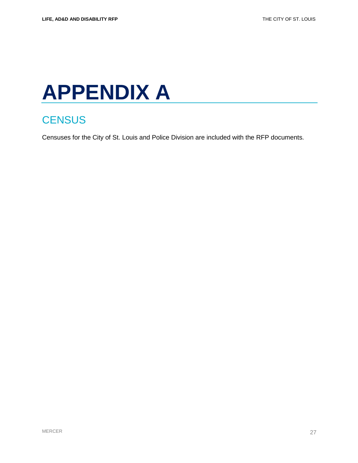# **APPENDIX A**

## **CENSUS**

Censuses for the City of St. Louis and Police Division are included with the RFP documents.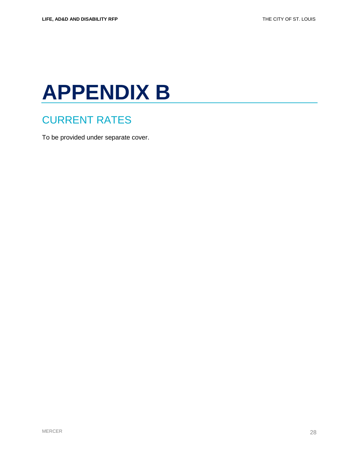# **APPENDIX B**

### CURRENT RATES

To be provided under separate cover.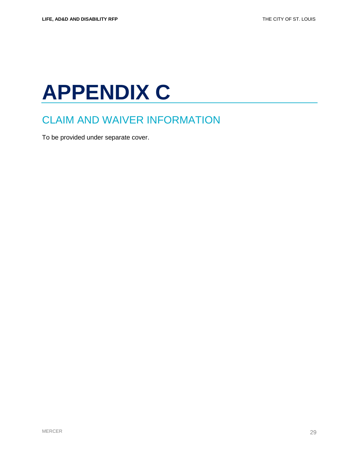# **APPENDIX C**

## CLAIM AND WAIVER INFORMATION

To be provided under separate cover.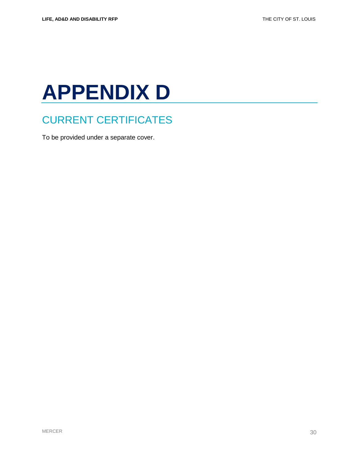# **APPENDIX D**

## CURRENT CERTIFICATES

To be provided under a separate cover.